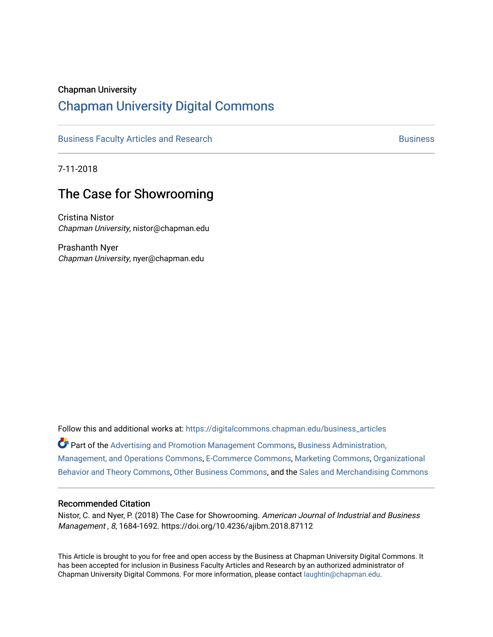### Chapman University

# [Chapman University Digital Commons](https://digitalcommons.chapman.edu/)

[Business Faculty Articles and Research](https://digitalcommons.chapman.edu/business_articles) [Business](https://digitalcommons.chapman.edu/business) **Business** Business

7-11-2018

# The Case for Showrooming

Cristina Nistor Chapman University, nistor@chapman.edu

Prashanth Nyer Chapman University, nyer@chapman.edu

Follow this and additional works at: [https://digitalcommons.chapman.edu/business\\_articles](https://digitalcommons.chapman.edu/business_articles?utm_source=digitalcommons.chapman.edu%2Fbusiness_articles%2F67&utm_medium=PDF&utm_campaign=PDFCoverPages) 

Part of the [Advertising and Promotion Management Commons,](http://network.bepress.com/hgg/discipline/626?utm_source=digitalcommons.chapman.edu%2Fbusiness_articles%2F67&utm_medium=PDF&utm_campaign=PDFCoverPages) [Business Administration,](http://network.bepress.com/hgg/discipline/623?utm_source=digitalcommons.chapman.edu%2Fbusiness_articles%2F67&utm_medium=PDF&utm_campaign=PDFCoverPages) [Management, and Operations Commons](http://network.bepress.com/hgg/discipline/623?utm_source=digitalcommons.chapman.edu%2Fbusiness_articles%2F67&utm_medium=PDF&utm_campaign=PDFCoverPages), [E-Commerce Commons,](http://network.bepress.com/hgg/discipline/624?utm_source=digitalcommons.chapman.edu%2Fbusiness_articles%2F67&utm_medium=PDF&utm_campaign=PDFCoverPages) [Marketing Commons](http://network.bepress.com/hgg/discipline/638?utm_source=digitalcommons.chapman.edu%2Fbusiness_articles%2F67&utm_medium=PDF&utm_campaign=PDFCoverPages), [Organizational](http://network.bepress.com/hgg/discipline/639?utm_source=digitalcommons.chapman.edu%2Fbusiness_articles%2F67&utm_medium=PDF&utm_campaign=PDFCoverPages) [Behavior and Theory Commons,](http://network.bepress.com/hgg/discipline/639?utm_source=digitalcommons.chapman.edu%2Fbusiness_articles%2F67&utm_medium=PDF&utm_campaign=PDFCoverPages) [Other Business Commons,](http://network.bepress.com/hgg/discipline/647?utm_source=digitalcommons.chapman.edu%2Fbusiness_articles%2F67&utm_medium=PDF&utm_campaign=PDFCoverPages) and the [Sales and Merchandising Commons](http://network.bepress.com/hgg/discipline/646?utm_source=digitalcommons.chapman.edu%2Fbusiness_articles%2F67&utm_medium=PDF&utm_campaign=PDFCoverPages)

#### Recommended Citation

Nistor, C. and Nyer, P. (2018) The Case for Showrooming. American Journal of Industrial and Business Management , 8, 1684-1692. https://doi.org/10.4236/ajibm.2018.87112

This Article is brought to you for free and open access by the Business at Chapman University Digital Commons. It has been accepted for inclusion in Business Faculty Articles and Research by an authorized administrator of Chapman University Digital Commons. For more information, please contact [laughtin@chapman.edu](mailto:laughtin@chapman.edu).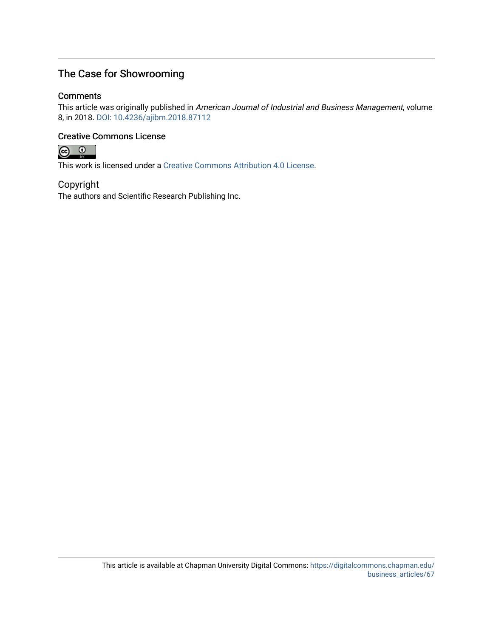# The Case for Showrooming

## **Comments**

This article was originally published in American Journal of Industrial and Business Management, volume 8, in 2018. [DOI: 10.4236/ajibm.2018.87112](https://doi.org/10.4236/ajibm.2018.87112) 

# Creative Commons License



This work is licensed under a [Creative Commons Attribution 4.0 License](https://creativecommons.org/licenses/by/4.0/).

# Copyright

The authors and Scientific Research Publishing Inc.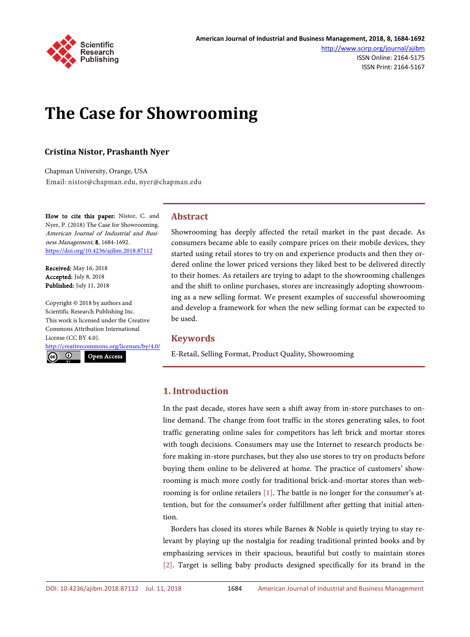

ISSN Online: 2164-5175 ISSN Print: 2164-5167

# **The Case for Showrooming**

### **Cristina Nistor, Prashanth Nyer**

Chapman University, Orange, USA Email: nistor@chapman.edu, nyer@chapman.edu

How to cite this paper: Nistor, C. and Nyer, P. (2018) The Case for Showrooming. American Journal of Industrial and Business Management, 8, 1684-1692. <https://doi.org/10.4236/ajibm.2018.87112>

Received: May 16, 2018 Accepted: July 8, 2018 Published: July 11, 2018

Copyright © 2018 by authors and Scientific Research Publishing Inc. This work is licensed under the Creative Commons Attribution International License (CC BY 4.0).

<http://creativecommons.org/licenses/by/4.0/>

 $\odot$ 

Open Access

#### **Abstract**

Showrooming has deeply affected the retail market in the past decade. As consumers became able to easily compare prices on their mobile devices, they started using retail stores to try on and experience products and then they ordered online the lower priced versions they liked best to be delivered directly to their homes. As retailers are trying to adapt to the showrooming challenges and the shift to online purchases, stores are increasingly adopting showrooming as a new selling format. We present examples of successful showrooming and develop a framework for when the new selling format can be expected to be used.

#### **Keywords**

E-Retail, Selling Format, Product Quality, Showrooming

#### **1. Introduction**

In the past decade, stores have seen a shift away from in-store purchases to online demand. The change from foot traffic in the stores generating sales, to foot traffic generating online sales for competitors has left brick and mortar stores with tough decisions. Consumers may use the Internet to research products before making in-store purchases, but they also use stores to try on products before buying them online to be delivered at home. The practice of customers' showrooming is much more costly for traditional brick-and-mortar stores than webrooming is for online retailers [\[1\].](#page-9-0) The battle is no longer for the consumer's attention, but for the consumer's order fulfillment after getting that initial attention.

Borders has closed its stores while Barnes & Noble is quietly trying to stay relevant by playing up the nostalgia for reading traditional printed books and by emphasizing services in their spacious, beautiful but costly to maintain stores [\[2\].](#page-9-1) Target is selling baby products designed specifically for its brand in the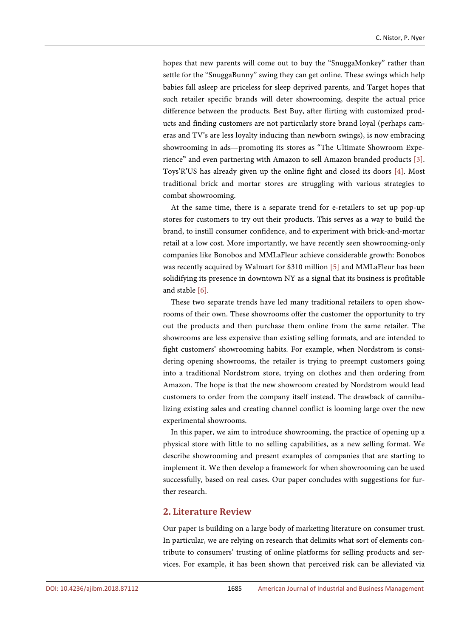hopes that new parents will come out to buy the "SnuggaMonkey" rather than settle for the "SnuggaBunny" swing they can get online. These swings which help babies fall asleep are priceless for sleep deprived parents, and Target hopes that such retailer specific brands will deter showrooming, despite the actual price difference between the products. Best Buy, after flirting with customized products and finding customers are not particularly store brand loyal (perhaps cameras and TV's are less loyalty inducing than newborn swings), is now embracing showrooming in ads—promoting its stores as "The Ultimate Showroom Experience" and even partnering with Amazon to sell Amazon branded products [\[3\].](#page-9-2)  Toys'R'US has already given up the online fight and closed its doors [\[4\].](#page-9-3) Most traditional brick and mortar stores are struggling with various strategies to combat showrooming.

At the same time, there is a separate trend for e-retailers to set up pop-up stores for customers to try out their products. This serves as a way to build the brand, to instill consumer confidence, and to experiment with brick-and-mortar retail at a low cost. More importantly, we have recently seen showrooming-only companies like Bonobos and MMLaFleur achieve considerable growth: Bonobos was recently acquired by Walmart for \$310 million [\[5\]](#page-9-4) and MMLaFleur has been solidifying its presence in downtown NY as a signal that its business is profitable and stable [\[6\].](#page-9-5)

These two separate trends have led many traditional retailers to open showrooms of their own. These showrooms offer the customer the opportunity to try out the products and then purchase them online from the same retailer. The showrooms are less expensive than existing selling formats, and are intended to fight customers' showrooming habits. For example, when Nordstrom is considering opening showrooms, the retailer is trying to preempt customers going into a traditional Nordstrom store, trying on clothes and then ordering from Amazon. The hope is that the new showroom created by Nordstrom would lead customers to order from the company itself instead. The drawback of cannibalizing existing sales and creating channel conflict is looming large over the new experimental showrooms.

In this paper, we aim to introduce showrooming, the practice of opening up a physical store with little to no selling capabilities, as a new selling format. We describe showrooming and present examples of companies that are starting to implement it. We then develop a framework for when showrooming can be used successfully, based on real cases. Our paper concludes with suggestions for further research.

#### **2. Literature Review**

Our paper is building on a large body of marketing literature on consumer trust. In particular, we are relying on research that delimits what sort of elements contribute to consumers' trusting of online platforms for selling products and services. For example, it has been shown that perceived risk can be alleviated via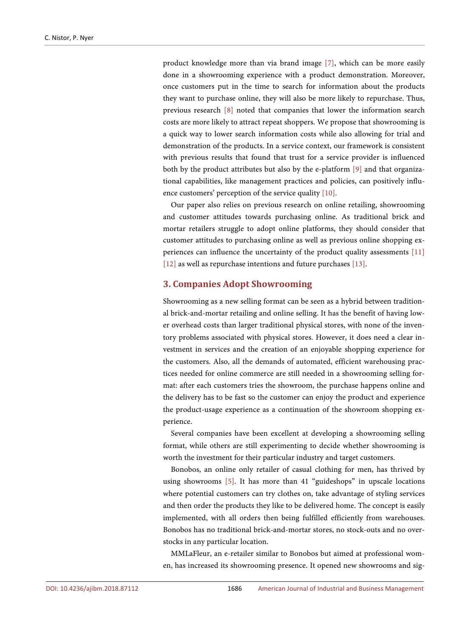product knowledge more than via brand image [\[7\],](#page-9-6) which can be more easily done in a showrooming experience with a product demonstration. Moreover, once customers put in the time to search for information about the products they want to purchase online, they will also be more likely to repurchase. Thus, previous research [\[8\]](#page-9-7) noted that companies that lower the information search costs are more likely to attract repeat shoppers. We propose that showrooming is a quick way to lower search information costs while also allowing for trial and demonstration of the products. In a service context, our framework is consistent with previous results that found that trust for a service provider is influenced both by the product attributes but also by the e-platform [\[9\]](#page-9-8) and that organizational capabilities, like management practices and policies, can positively influence customers' perception of the service quality [\[10\].](#page-9-9)

Our paper also relies on previous research on online retailing, showrooming and customer attitudes towards purchasing online. As traditional brick and mortar retailers struggle to adopt online platforms, they should consider that customer attitudes to purchasing online as well as previous online shopping experiences can influence the uncertainty of the product quality assessments [\[11\]](#page-9-10) [\[12\]](#page-9-11) as well as repurchase intentions and future purchases [\[13\].](#page-9-12)

#### **3. Companies Adopt Showrooming**

Showrooming as a new selling format can be seen as a hybrid between traditional brick-and-mortar retailing and online selling. It has the benefit of having lower overhead costs than larger traditional physical stores, with none of the inventory problems associated with physical stores. However, it does need a clear investment in services and the creation of an enjoyable shopping experience for the customers. Also, all the demands of automated, efficient warehousing practices needed for online commerce are still needed in a showrooming selling format: after each customers tries the showroom, the purchase happens online and the delivery has to be fast so the customer can enjoy the product and experience the product-usage experience as a continuation of the showroom shopping experience.

Several companies have been excellent at developing a showrooming selling format, while others are still experimenting to decide whether showrooming is worth the investment for their particular industry and target customers.

Bonobos, an online only retailer of casual clothing for men, has thrived by using showrooms [\[5\].](#page-9-4) It has more than 41 "guideshops" in upscale locations where potential customers can try clothes on, take advantage of styling services and then order the products they like to be delivered home. The concept is easily implemented, with all orders then being fulfilled efficiently from warehouses. Bonobos has no traditional brick-and-mortar stores, no stock-outs and no overstocks in any particular location.

MMLaFleur, an e-retailer similar to Bonobos but aimed at professional women, has increased its showrooming presence. It opened new showrooms and sig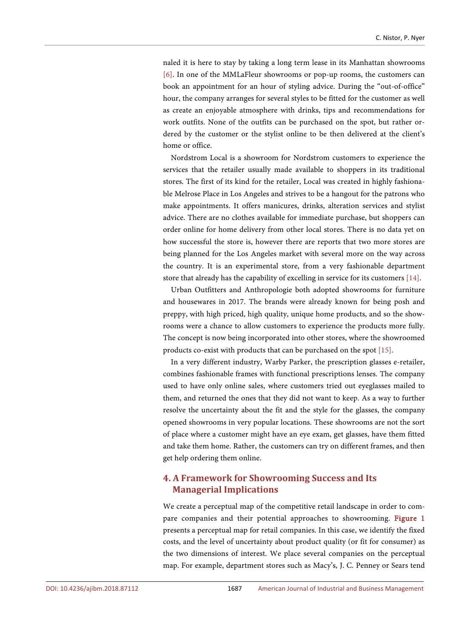naled it is here to stay by taking a long term lease in its Manhattan showrooms [\[6\].](#page-9-5) In one of the MMLaFleur showrooms or pop-up rooms, the customers can book an appointment for an hour of styling advice. During the "out-of-office" hour, the company arranges for several styles to be fitted for the customer as well as create an enjoyable atmosphere with drinks, tips and recommendations for work outfits. None of the outfits can be purchased on the spot, but rather ordered by the customer or the stylist online to be then delivered at the client's home or office.

Nordstrom Local is a showroom for Nordstrom customers to experience the services that the retailer usually made available to shoppers in its traditional stores. The first of its kind for the retailer, Local was created in highly fashionable Melrose Place in Los Angeles and strives to be a hangout for the patrons who make appointments. It offers manicures, drinks, alteration services and stylist advice. There are no clothes available for immediate purchase, but shoppers can order online for home delivery from other local stores. There is no data yet on how successful the store is, however there are reports that two more stores are being planned for the Los Angeles market with several more on the way across the country. It is an experimental store, from a very fashionable department store that already has the capability of excelling in service for its customers [\[14\].](#page-9-13)

Urban Outfitters and Anthropologie both adopted showrooms for furniture and housewares in 2017. The brands were already known for being posh and preppy, with high priced, high quality, unique home products, and so the showrooms were a chance to allow customers to experience the products more fully. The concept is now being incorporated into other stores, where the showroomed products co-exist with products that can be purchased on the spot [\[15\].](#page-10-0)

In a very different industry, Warby Parker, the prescription glasses e-retailer, combines fashionable frames with functional prescriptions lenses. The company used to have only online sales, where customers tried out eyeglasses mailed to them, and returned the ones that they did not want to keep. As a way to further resolve the uncertainty about the fit and the style for the glasses, the company opened showrooms in very popular locations. These showrooms are not the sort of place where a customer might have an eye exam, get glasses, have them fitted and take them home. Rather, the customers can try on different frames, and then get help ordering them online.

# **4. A Framework for Showrooming Success and Its Managerial Implications**

We create a perceptual map of the competitive retail landscape in order to compare companies and their potential approaches to showrooming. [Figure 1](#page-6-0) presents a perceptual map for retail companies. In this case, we identify the fixed costs, and the level of uncertainty about product quality (or fit for consumer) as the two dimensions of interest. We place several companies on the perceptual map. For example, department stores such as Macy's, J. C. Penney or Sears tend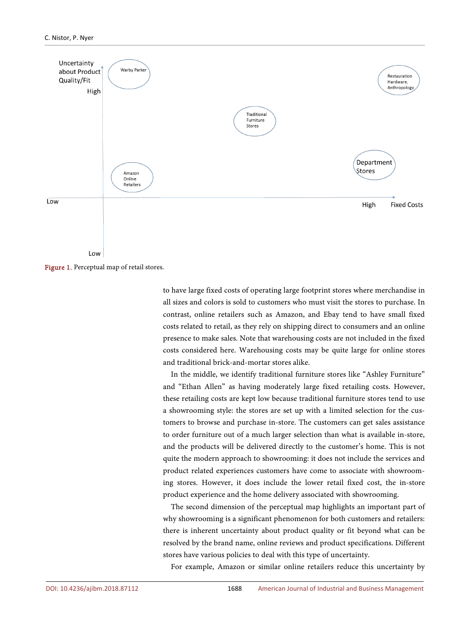<span id="page-6-0"></span>

Figure 1. Perceptual map of retail stores.

to have large fixed costs of operating large footprint stores where merchandise in all sizes and colors is sold to customers who must visit the stores to purchase. In contrast, online retailers such as Amazon, and Ebay tend to have small fixed costs related to retail, as they rely on shipping direct to consumers and an online presence to make sales. Note that warehousing costs are not included in the fixed costs considered here. Warehousing costs may be quite large for online stores and traditional brick-and-mortar stores alike.

In the middle, we identify traditional furniture stores like "Ashley Furniture" and "Ethan Allen" as having moderately large fixed retailing costs. However, these retailing costs are kept low because traditional furniture stores tend to use a showrooming style: the stores are set up with a limited selection for the customers to browse and purchase in-store. The customers can get sales assistance to order furniture out of a much larger selection than what is available in-store, and the products will be delivered directly to the customer's home. This is not quite the modern approach to showrooming: it does not include the services and product related experiences customers have come to associate with showrooming stores. However, it does include the lower retail fixed cost, the in-store product experience and the home delivery associated with showrooming.

The second dimension of the perceptual map highlights an important part of why showrooming is a significant phenomenon for both customers and retailers: there is inherent uncertainty about product quality or fit beyond what can be resolved by the brand name, online reviews and product specifications. Different stores have various policies to deal with this type of uncertainty.

For example, Amazon or similar online retailers reduce this uncertainty by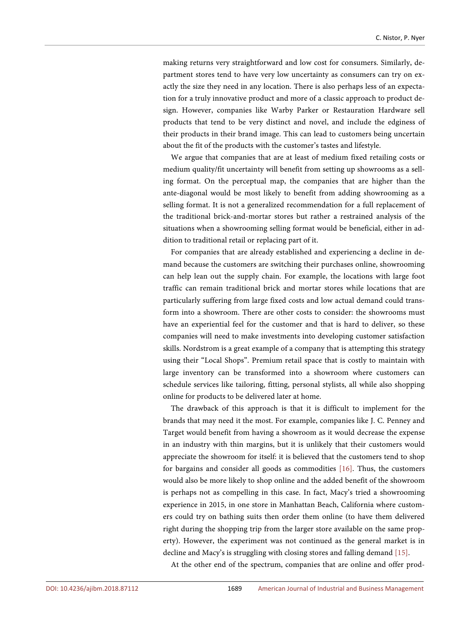making returns very straightforward and low cost for consumers. Similarly, department stores tend to have very low uncertainty as consumers can try on exactly the size they need in any location. There is also perhaps less of an expectation for a truly innovative product and more of a classic approach to product design. However, companies like Warby Parker or Restauration Hardware sell products that tend to be very distinct and novel, and include the edginess of their products in their brand image. This can lead to customers being uncertain about the fit of the products with the customer's tastes and lifestyle.

We argue that companies that are at least of medium fixed retailing costs or medium quality/fit uncertainty will benefit from setting up showrooms as a selling format. On the perceptual map, the companies that are higher than the ante-diagonal would be most likely to benefit from adding showrooming as a selling format. It is not a generalized recommendation for a full replacement of the traditional brick-and-mortar stores but rather a restrained analysis of the situations when a showrooming selling format would be beneficial, either in addition to traditional retail or replacing part of it.

For companies that are already established and experiencing a decline in demand because the customers are switching their purchases online, showrooming can help lean out the supply chain. For example, the locations with large foot traffic can remain traditional brick and mortar stores while locations that are particularly suffering from large fixed costs and low actual demand could transform into a showroom. There are other costs to consider: the showrooms must have an experiential feel for the customer and that is hard to deliver, so these companies will need to make investments into developing customer satisfaction skills. Nordstrom is a great example of a company that is attempting this strategy using their "Local Shops". Premium retail space that is costly to maintain with large inventory can be transformed into a showroom where customers can schedule services like tailoring, fitting, personal stylists, all while also shopping online for products to be delivered later at home.

The drawback of this approach is that it is difficult to implement for the brands that may need it the most. For example, companies like J. C. Penney and Target would benefit from having a showroom as it would decrease the expense in an industry with thin margins, but it is unlikely that their customers would appreciate the showroom for itself: it is believed that the customers tend to shop for bargains and consider all goods as commodities [\[16\].](#page-10-1) Thus, the customers would also be more likely to shop online and the added benefit of the showroom is perhaps not as compelling in this case. In fact, Macy's tried a showrooming experience in 2015, in one store in Manhattan Beach, California where customers could try on bathing suits then order them online (to have them delivered right during the shopping trip from the larger store available on the same property). However, the experiment was not continued as the general market is in decline and Macy's is struggling with closing stores and falling demand [\[15\].](#page-10-0)

At the other end of the spectrum, companies that are online and offer prod-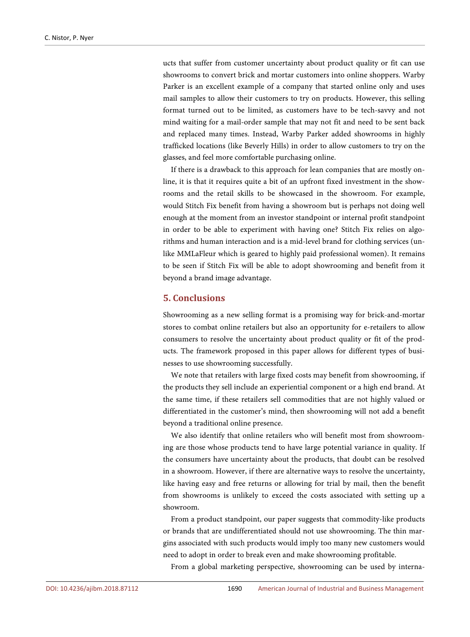ucts that suffer from customer uncertainty about product quality or fit can use showrooms to convert brick and mortar customers into online shoppers. Warby Parker is an excellent example of a company that started online only and uses mail samples to allow their customers to try on products. However, this selling format turned out to be limited, as customers have to be tech-savvy and not mind waiting for a mail-order sample that may not fit and need to be sent back and replaced many times. Instead, Warby Parker added showrooms in highly trafficked locations (like Beverly Hills) in order to allow customers to try on the glasses, and feel more comfortable purchasing online.

If there is a drawback to this approach for lean companies that are mostly online, it is that it requires quite a bit of an upfront fixed investment in the showrooms and the retail skills to be showcased in the showroom. For example, would Stitch Fix benefit from having a showroom but is perhaps not doing well enough at the moment from an investor standpoint or internal profit standpoint in order to be able to experiment with having one? Stitch Fix relies on algorithms and human interaction and is a mid-level brand for clothing services (unlike MMLaFleur which is geared to highly paid professional women). It remains to be seen if Stitch Fix will be able to adopt showrooming and benefit from it beyond a brand image advantage.

#### **5. Conclusions**

Showrooming as a new selling format is a promising way for brick-and-mortar stores to combat online retailers but also an opportunity for e-retailers to allow consumers to resolve the uncertainty about product quality or fit of the products. The framework proposed in this paper allows for different types of businesses to use showrooming successfully.

We note that retailers with large fixed costs may benefit from showrooming, if the products they sell include an experiential component or a high end brand. At the same time, if these retailers sell commodities that are not highly valued or differentiated in the customer's mind, then showrooming will not add a benefit beyond a traditional online presence.

We also identify that online retailers who will benefit most from showrooming are those whose products tend to have large potential variance in quality. If the consumers have uncertainty about the products, that doubt can be resolved in a showroom. However, if there are alternative ways to resolve the uncertainty, like having easy and free returns or allowing for trial by mail, then the benefit from showrooms is unlikely to exceed the costs associated with setting up a showroom.

From a product standpoint, our paper suggests that commodity-like products or brands that are undifferentiated should not use showrooming. The thin margins associated with such products would imply too many new customers would need to adopt in order to break even and make showrooming profitable.

From a global marketing perspective, showrooming can be used by interna-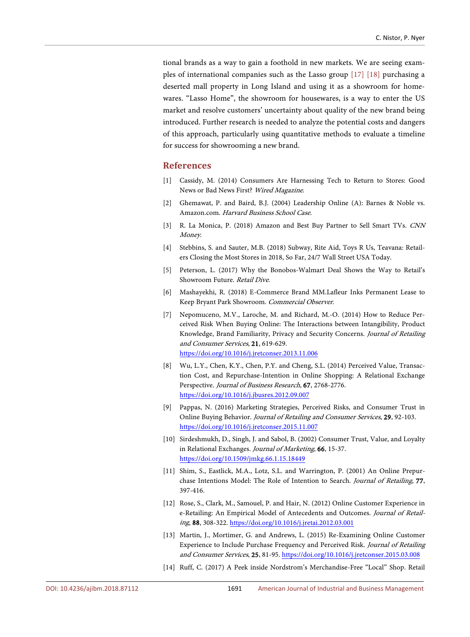tional brands as a way to gain a foothold in new markets. We are seeing examples of international companies such as the Lasso group [\[17\]](#page-10-2) [\[18\]](#page-10-3) purchasing a deserted mall property in Long Island and using it as a showroom for homewares. "Lasso Home", the showroom for housewares, is a way to enter the US market and resolve customers' uncertainty about quality of the new brand being introduced. Further research is needed to analyze the potential costs and dangers of this approach, particularly using quantitative methods to evaluate a timeline for success for showrooming a new brand.

#### **References**

- <span id="page-9-0"></span>[1] Cassidy, M. (2014) Consumers Are Harnessing Tech to Return to Stores: Good News or Bad News First? Wired Magazine.
- <span id="page-9-1"></span>[2] Ghemawat, P. and Baird, B.J. (2004) Leadership Online (A): Barnes & Noble vs. Amazon.com. Harvard Business School Case.
- <span id="page-9-2"></span>[3] R. La Monica, P. (2018) Amazon and Best Buy Partner to Sell Smart TVs. CNN Money.
- <span id="page-9-3"></span>[4] Stebbins, S. and Sauter, M.B. (2018) Subway, Rite Aid, Toys R Us, Teavana: Retailers Closing the Most Stores in 2018, So Far, 24/7 Wall Street USA Today.
- <span id="page-9-4"></span>[5] Peterson, L. (2017) Why the Bonobos-Walmart Deal Shows the Way to Retail's Showroom Future. Retail Dive.
- <span id="page-9-5"></span>[6] Mashayekhi, R. (2018) E-Commerce Brand MM.Lafleur Inks Permanent Lease to Keep Bryant Park Showroom. Commercial Observer.
- <span id="page-9-6"></span>[7] Nepomuceno, M.V., Laroche, M. and Richard, M.-O. (2014) How to Reduce Perceived Risk When Buying Online: The Interactions between Intangibility, Product Knowledge, Brand Familiarity, Privacy and Security Concerns. Journal of Retailing and Consumer Services, 21, 619-629. <https://doi.org/10.1016/j.jretconser.2013.11.006>
- <span id="page-9-7"></span>[8] Wu, L.Y., Chen, K.Y., Chen, P.Y. and Cheng, S.L. (2014) Perceived Value, Transaction Cost, and Repurchase-Intention in Online Shopping: A Relational Exchange Perspective. Journal of Business Research, 67, 2768-2776. <https://doi.org/10.1016/j.jbusres.2012.09.007>
- <span id="page-9-8"></span>[9] Pappas, N. (2016) Marketing Strategies, Perceived Risks, and Consumer Trust in Online Buying Behavior. Journal of Retailing and Consumer Services, 29, 92-103. <https://doi.org/10.1016/j.jretconser.2015.11.007>
- <span id="page-9-9"></span>[10] Sirdeshmukh, D., Singh, J. and Sabol, B. (2002) Consumer Trust, Value, and Loyalty in Relational Exchanges. Journal of Marketing, 66, 15-37. <https://doi.org/10.1509/jmkg.66.1.15.18449>
- <span id="page-9-10"></span>[11] Shim, S., Eastlick, M.A., Lotz, S.L. and Warrington, P. (2001) An Online Prepurchase Intentions Model: The Role of Intention to Search. Journal of Retailing, 77, 397-416.
- <span id="page-9-11"></span>[12] Rose, S., Clark, M., Samouel, P. and Hair, N. (2012) Online Customer Experience in e-Retailing: An Empirical Model of Antecedents and Outcomes. Journal of Retailing, 88, 308-322[. https://doi.org/10.1016/j.jretai.2012.03.001](https://doi.org/10.1016/j.jretai.2012.03.001)
- <span id="page-9-12"></span>[13] Martin, J., Mortimer, G. and Andrews, L. (2015) Re-Examining Online Customer Experience to Include Purchase Frequency and Perceived Risk. Journal of Retailing and Consumer Services, 25, 81-95[. https://doi.org/10.1016/j.jretconser.2015.03.008](https://doi.org/10.1016/j.jretconser.2015.03.008)
- <span id="page-9-13"></span>[14] Ruff, C. (2017) A Peek inside Nordstrom's Merchandise-Free "Local" Shop. Retail